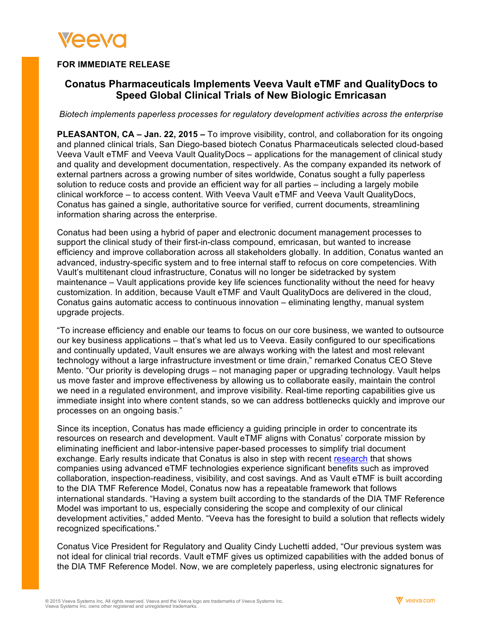

## **FOR IMMEDIATE RELEASE**

# **Conatus Pharmaceuticals Implements Veeva Vault eTMF and QualityDocs to Speed Global Clinical Trials of New Biologic Emricasan**

*Biotech implements paperless processes for regulatory development activities across the enterprise*

**PLEASANTON, CA – Jan. 22, 2015 –** To improve visibility, control, and collaboration for its ongoing and planned clinical trials, San Diego-based biotech Conatus Pharmaceuticals selected cloud-based Veeva Vault eTMF and Veeva Vault QualityDocs – applications for the management of clinical study and quality and development documentation, respectively. As the company expanded its network of external partners across a growing number of sites worldwide, Conatus sought a fully paperless solution to reduce costs and provide an efficient way for all parties – including a largely mobile clinical workforce – to access content. With Veeva Vault eTMF and Veeva Vault QualityDocs, Conatus has gained a single, authoritative source for verified, current documents, streamlining information sharing across the enterprise.

Conatus had been using a hybrid of paper and electronic document management processes to support the clinical study of their first-in-class compound, emricasan, but wanted to increase efficiency and improve collaboration across all stakeholders globally. In addition, Conatus wanted an advanced, industry-specific system and to free internal staff to refocus on core competencies. With Vault's multitenant cloud infrastructure, Conatus will no longer be sidetracked by system maintenance – Vault applications provide key life sciences functionality without the need for heavy customization. In addition, because Vault eTMF and Vault QualityDocs are delivered in the cloud, Conatus gains automatic access to continuous innovation – eliminating lengthy, manual system upgrade projects.

"To increase efficiency and enable our teams to focus on our core business, we wanted to outsource our key business applications – that's what led us to Veeva. Easily configured to our specifications and continually updated, Vault ensures we are always working with the latest and most relevant technology without a large infrastructure investment or time drain," remarked Conatus CEO Steve Mento. "Our priority is developing drugs – not managing paper or upgrading technology. Vault helps us move faster and improve effectiveness by allowing us to collaborate easily, maintain the control we need in a regulated environment, and improve visibility. Real-time reporting capabilities give us immediate insight into where content stands, so we can address bottlenecks quickly and improve our processes on an ongoing basis."

Since its inception, Conatus has made efficiency a guiding principle in order to concentrate its resources on research and development. Vault eTMF aligns with Conatus' corporate mission by eliminating inefficient and labor-intensive paper-based processes to simplify trial document exchange. Early results indicate that Conatus is also in step with recent research that shows companies using advanced eTMF technologies experience significant benefits such as improved collaboration, inspection-readiness, visibility, and cost savings. And as Vault eTMF is built according to the DIA TMF Reference Model, Conatus now has a repeatable framework that follows international standards. "Having a system built according to the standards of the DIA TMF Reference Model was important to us, especially considering the scope and complexity of our clinical development activities," added Mento. "Veeva has the foresight to build a solution that reflects widely recognized specifications."

Conatus Vice President for Regulatory and Quality Cindy Luchetti added, "Our previous system was not ideal for clinical trial records. Vault eTMF gives us optimized capabilities with the added bonus of the DIA TMF Reference Model. Now, we are completely paperless, using electronic signatures for

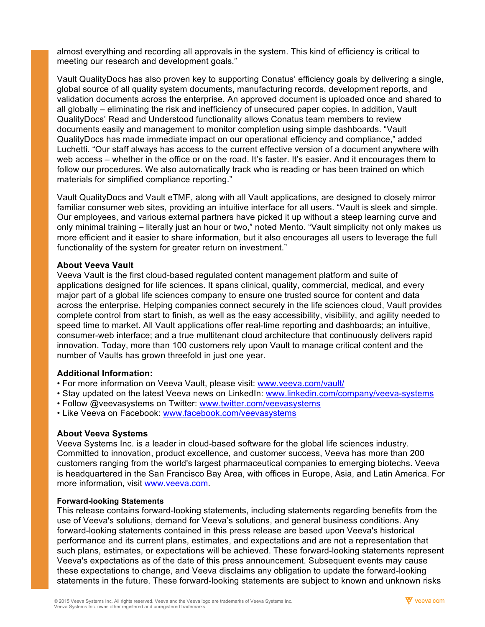almost everything and recording all approvals in the system. This kind of efficiency is critical to meeting our research and development goals."

Vault QualityDocs has also proven key to supporting Conatus' efficiency goals by delivering a single, global source of all quality system documents, manufacturing records, development reports, and validation documents across the enterprise. An approved document is uploaded once and shared to all globally – eliminating the risk and inefficiency of unsecured paper copies. In addition, Vault QualityDocs' Read and Understood functionality allows Conatus team members to review documents easily and management to monitor completion using simple dashboards. "Vault QualityDocs has made immediate impact on our operational efficiency and compliance," added Luchetti. "Our staff always has access to the current effective version of a document anywhere with web access – whether in the office or on the road. It's faster. It's easier. And it encourages them to follow our procedures. We also automatically track who is reading or has been trained on which materials for simplified compliance reporting."

Vault QualityDocs and Vault eTMF, along with all Vault applications, are designed to closely mirror familiar consumer web sites, providing an intuitive interface for all users. "Vault is sleek and simple. Our employees, and various external partners have picked it up without a steep learning curve and only minimal training – literally just an hour or two," noted Mento. "Vault simplicity not only makes us more efficient and it easier to share information, but it also encourages all users to leverage the full functionality of the system for greater return on investment."

#### **About Veeva Vault**

Veeva Vault is the first cloud-based regulated content management platform and suite of applications designed for life sciences. It spans clinical, quality, commercial, medical, and every major part of a global life sciences company to ensure one trusted source for content and data across the enterprise. Helping companies connect securely in the life sciences cloud, Vault provides complete control from start to finish, as well as the easy accessibility, visibility, and agility needed to speed time to market. All Vault applications offer real-time reporting and dashboards; an intuitive, consumer-web interface; and a true multitenant cloud architecture that continuously delivers rapid innovation. Today, more than 100 customers rely upon Vault to manage critical content and the number of Vaults has grown threefold in just one year.

## **Additional Information:**

- For more information on Veeva Vault, please visit: www.veeva.com/vault/
- Stay updated on the latest Veeva news on LinkedIn: www.linkedin.com/company/veeva-systems
- Follow @veevasystems on Twitter: www.twitter.com/veevasystems
- Like Veeva on Facebook: www.facebook.com/veevasystems

## **About Veeva Systems**

Veeva Systems Inc. is a leader in cloud-based software for the global life sciences industry. Committed to innovation, product excellence, and customer success, Veeva has more than 200 customers ranging from the world's largest pharmaceutical companies to emerging biotechs. Veeva is headquartered in the San Francisco Bay Area, with offices in Europe, Asia, and Latin America. For more information, visit www.veeva.com.

#### **Forward-looking Statements**

This release contains forward-looking statements, including statements regarding benefits from the use of Veeva's solutions, demand for Veeva's solutions, and general business conditions. Any forward-looking statements contained in this press release are based upon Veeva's historical performance and its current plans, estimates, and expectations and are not a representation that such plans, estimates, or expectations will be achieved. These forward-looking statements represent Veeva's expectations as of the date of this press announcement. Subsequent events may cause these expectations to change, and Veeva disclaims any obligation to update the forward-looking statements in the future. These forward-looking statements are subject to known and unknown risks